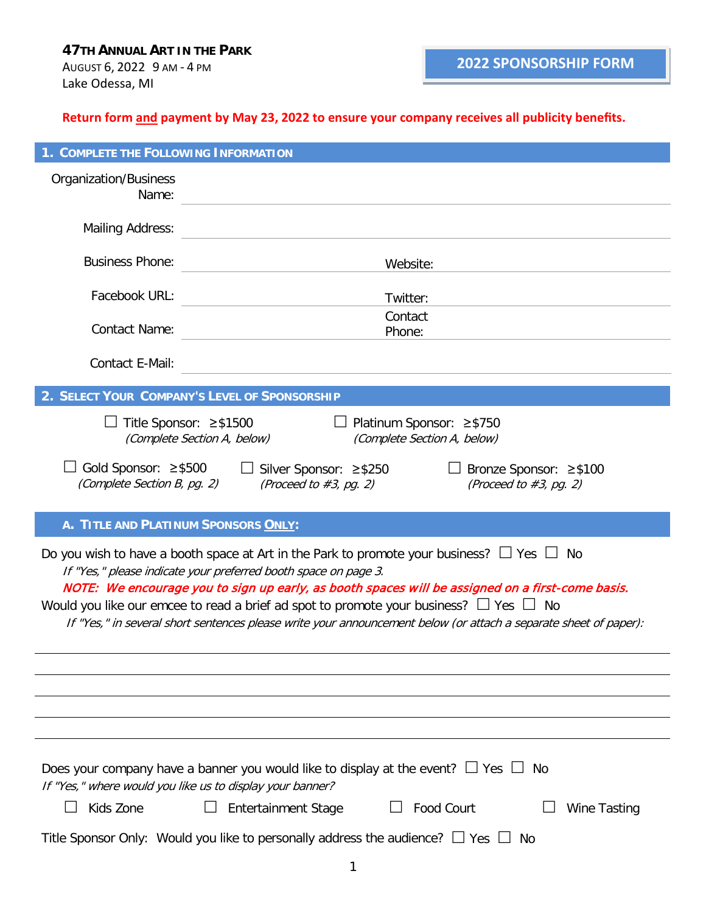**Return form and payment by May 23, 2022 to ensure your company receives all publicity benefits.**

| 1. COMPLETE THE FOLLOWING INFORMATION                                                                                                                                                                                                                                                                                                                                                                                                                                                             |                                                                 |  |  |
|---------------------------------------------------------------------------------------------------------------------------------------------------------------------------------------------------------------------------------------------------------------------------------------------------------------------------------------------------------------------------------------------------------------------------------------------------------------------------------------------------|-----------------------------------------------------------------|--|--|
| <b>Organization/Business</b><br>Name:                                                                                                                                                                                                                                                                                                                                                                                                                                                             |                                                                 |  |  |
| <b>Mailing Address:</b>                                                                                                                                                                                                                                                                                                                                                                                                                                                                           |                                                                 |  |  |
| <b>Business Phone:</b>                                                                                                                                                                                                                                                                                                                                                                                                                                                                            | Website:                                                        |  |  |
| Facebook URL:                                                                                                                                                                                                                                                                                                                                                                                                                                                                                     | Twitter:                                                        |  |  |
| <b>Contact Name:</b>                                                                                                                                                                                                                                                                                                                                                                                                                                                                              | Contact<br>Phone:                                               |  |  |
| Contact E-Mail:                                                                                                                                                                                                                                                                                                                                                                                                                                                                                   |                                                                 |  |  |
|                                                                                                                                                                                                                                                                                                                                                                                                                                                                                                   | 2. SELECT YOUR COMPANY'S LEVEL OF SPONSORSHIP                   |  |  |
| $\Box$ Title Sponsor: ≥\$1500<br>□ Platinum Sponsor: $\ge$ \$750<br>(Complete Section A, below)<br>(Complete Section A, below)                                                                                                                                                                                                                                                                                                                                                                    |                                                                 |  |  |
| Gold Sponsor: ≥\$500<br>$\Box$ Silver Sponsor: ≥\$250<br>□ Bronze Sponsor: $\geq$ \$100<br>(Complete Section B, pg. 2)<br>(Proceed to $#3$ , pg. 2)<br>(Proceed to $#3$ , pg. 2)                                                                                                                                                                                                                                                                                                                  |                                                                 |  |  |
| A. TITLE AND PLATINUM SPONSORS ONLY:                                                                                                                                                                                                                                                                                                                                                                                                                                                              |                                                                 |  |  |
| Do you wish to have a booth space at Art in the Park to promote your business? $\Box$ Yes $\Box$ No<br>If "Yes," please indicate your preferred booth space on page 3.<br>NOTE: We encourage you to sign up early, as booth spaces will be assigned on a first-come basis.<br>Would you like our emcee to read a brief ad spot to promote your business? $\Box$ Yes $\Box$ No<br>If "Yes," in several short sentences please write your announcement below (or attach a separate sheet of paper): |                                                                 |  |  |
|                                                                                                                                                                                                                                                                                                                                                                                                                                                                                                   |                                                                 |  |  |
|                                                                                                                                                                                                                                                                                                                                                                                                                                                                                                   |                                                                 |  |  |
|                                                                                                                                                                                                                                                                                                                                                                                                                                                                                                   |                                                                 |  |  |
| Does your company have a banner you would like to display at the event? $\Box$ Yes $\Box$ No<br>If "Yes," where would you like us to display your banner?                                                                                                                                                                                                                                                                                                                                         |                                                                 |  |  |
| Kids Zone                                                                                                                                                                                                                                                                                                                                                                                                                                                                                         | <b>Entertainment Stage</b><br>Food Court<br><b>Wine Tasting</b> |  |  |
| Title Sponsor Only: Would you like to personally address the audience? $\Box$ Yes $\Box$ No                                                                                                                                                                                                                                                                                                                                                                                                       |                                                                 |  |  |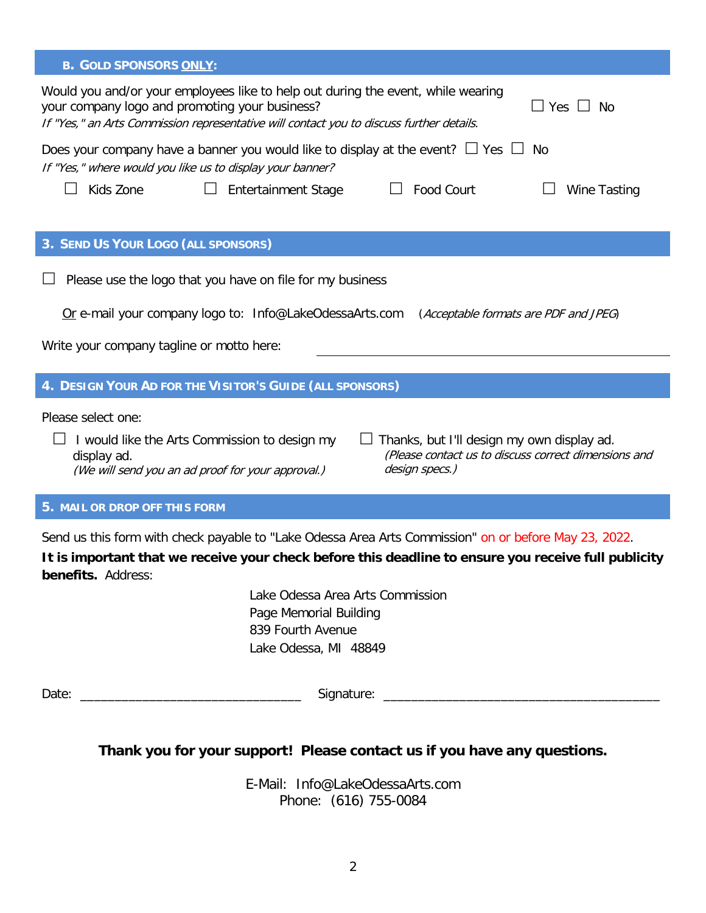| <b>B. GOLD SPONSORS ONLY:</b>                                                                                                                                                                                                                   |  |  |  |
|-------------------------------------------------------------------------------------------------------------------------------------------------------------------------------------------------------------------------------------------------|--|--|--|
| Would you and/or your employees like to help out during the event, while wearing<br>your company logo and promoting your business?<br>Yes $\Box$ No<br>If "Yes," an Arts Commission representative will contact you to discuss further details. |  |  |  |
| Does your company have a banner you would like to display at the event? $\Box$ Yes $\Box$<br>No<br>If "Yes," where would you like us to display your banner?                                                                                    |  |  |  |
| Food Court<br>Kids Zone<br>Entertainment Stage<br>Wine Tasting                                                                                                                                                                                  |  |  |  |
|                                                                                                                                                                                                                                                 |  |  |  |
| 3. SEND US YOUR LOGO (ALL SPONSORS)                                                                                                                                                                                                             |  |  |  |
| Please use the logo that you have on file for my business                                                                                                                                                                                       |  |  |  |
| Or e-mail your company logo to: Info@LakeOdessaArts.com (Acceptable formats are PDF and JPEG)                                                                                                                                                   |  |  |  |
| Write your company tagline or motto here:                                                                                                                                                                                                       |  |  |  |
|                                                                                                                                                                                                                                                 |  |  |  |
| 4. DESIGN YOUR AD FOR THE VISITOR'S GUIDE (ALL SPONSORS)                                                                                                                                                                                        |  |  |  |
| Please select one:                                                                                                                                                                                                                              |  |  |  |
| Thanks, but I'll design my own display ad.<br>I would like the Arts Commission to design my<br>(Please contact us to discuss correct dimensions and<br>display ad.<br>design specs.)<br>(We will send you an ad proof for your approval.)       |  |  |  |
|                                                                                                                                                                                                                                                 |  |  |  |

**5. MAIL OR DROP OFF THIS FORM**

Send us this form with check payable to "Lake Odessa Area Arts Commission" on or before May 23, 2022.

**It is important that we receive your check before this deadline to ensure you receive full publicity benefits.** Address:

> Lake Odessa Area Arts Commission Page Memorial Building 839 Fourth Avenue Lake Odessa, MI 48849

| $\overline{\phantom{a}}$ |               |  |
|--------------------------|---------------|--|
| $\sim$<br>Duit           | `'<br>$\cdot$ |  |
|                          |               |  |

## **Thank you for your support! Please contact us if you have any questions.**

E-Mail: Info@LakeOdessaArts.com Phone: (616) 755-0084